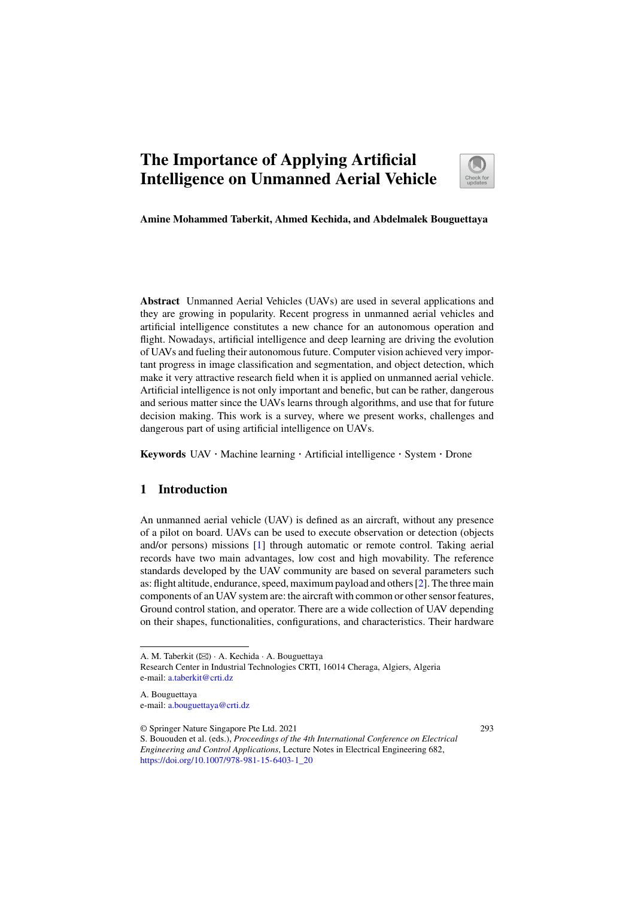# **The Importance of Applying Artificial Intelligence on Unmanned Aerial Vehicle**



**Amine Mohammed Taberkit, Ahmed Kechida, and Abdelmalek Bouguettaya**

**Abstract** Unmanned Aerial Vehicles (UAVs) are used in several applications and they are growing in popularity. Recent progress in unmanned aerial vehicles and artificial intelligence constitutes a new chance for an autonomous operation and flight. Nowadays, artificial intelligence and deep learning are driving the evolution of UAVs and fueling their autonomous future. Computer vision achieved very important progress in image classification and segmentation, and object detection, which make it very attractive research field when it is applied on unmanned aerial vehicle. Artificial intelligence is not only important and benefic, but can be rather, dangerous and serious matter since the UAVs learns through algorithms, and use that for future decision making. This work is a survey, where we present works, challenges and dangerous part of using artificial intelligence on UAVs.

**Keywords** UAV · Machine learning · Artificial intelligence · System · Drone

#### **1 Introduction**

An unmanned aerial vehicle (UAV) is defined as an aircraft, without any presence of a pilot on board. UAVs can be used to execute observation or detection (objects and/or persons) missions [1] through automatic or remote control. Taking aerial records have two main advantages, low cost and high movability. The reference standards developed by the UAV community are based on several parameters such as: flight altitude, endurance, speed, maximum payload and others [2]. The three main components of an UAV system are: the aircraft with common or other sensor features, Ground control station, and operator. There are a wide collection of UAV depending on their shapes, functionalities, configurations, and characteristics. Their hardware

A. Bouguettaya e-mail: a.bouguettaya@crti.dz

© Springer Nature Singapore Pte Ltd. 2021

293

A. M. Taberkit ( $\boxtimes$ ) · A. Kechida · A. Bouguettaya

Research Center in Industrial Technologies CRTI, 16014 Cheraga, Algiers, Algeria e-mail: a.taberkit@crti.dz

S. Bououden et al. (eds.), *Proceedings of the 4th International Conference on Electrical Engineering and Control Applications*, Lecture Notes in Electrical Engineering 682, https://doi.org/10.1007/978-981-15-6403-1\_20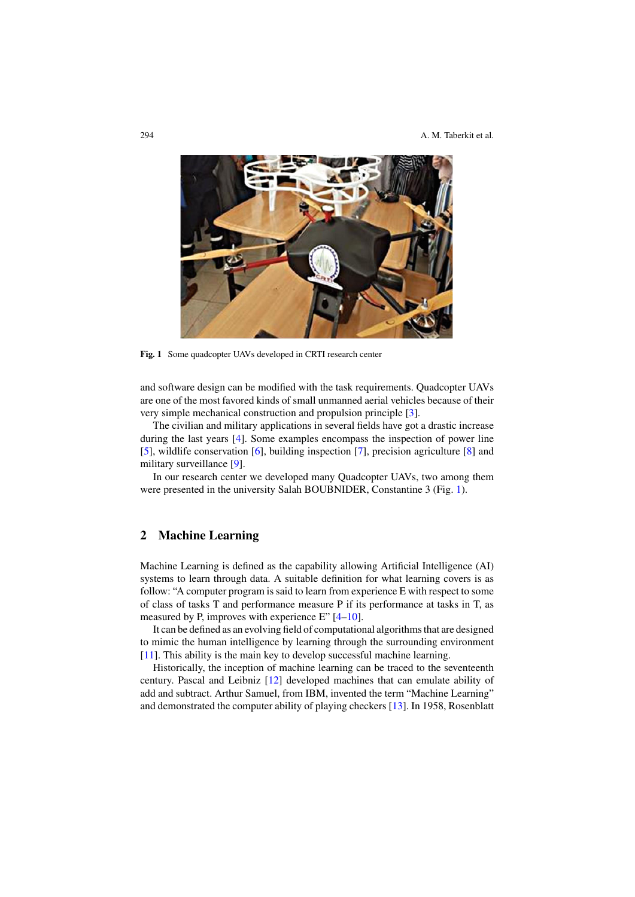

**Fig. 1** Some quadcopter UAVs developed in CRTI research center

and software design can be modified with the task requirements. Quadcopter UAVs are one of the most favored kinds of small unmanned aerial vehicles because of their very simple mechanical construction and propulsion principle [3].

The civilian and military applications in several fields have got a drastic increase during the last years [4]. Some examples encompass the inspection of power line [5], wildlife conservation [6], building inspection [7], precision agriculture [8] and military surveillance [9].

In our research center we developed many Quadcopter UAVs, two among them were presented in the university Salah BOUBNIDER, Constantine 3 (Fig. 1).

## **2 Machine Learning**

Machine Learning is defined as the capability allowing Artificial Intelligence (AI) systems to learn through data. A suitable definition for what learning covers is as follow: "A computer program is said to learn from experience E with respect to some of class of tasks T and performance measure P if its performance at tasks in T, as measured by P, improves with experience E" [4–10].

It can be defined as an evolving field of computational algorithms that are designed to mimic the human intelligence by learning through the surrounding environment [11]. This ability is the main key to develop successful machine learning.

Historically, the inception of machine learning can be traced to the seventeenth century. Pascal and Leibniz [12] developed machines that can emulate ability of add and subtract. Arthur Samuel, from IBM, invented the term "Machine Learning" and demonstrated the computer ability of playing checkers [13]. In 1958, Rosenblatt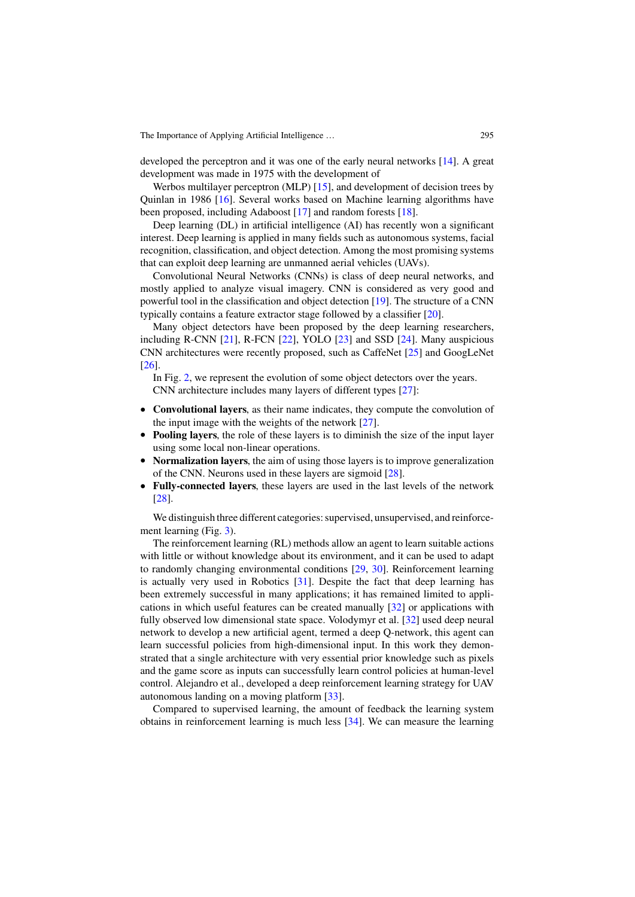developed the perceptron and it was one of the early neural networks [14]. A great development was made in 1975 with the development of

Werbos multilayer perceptron (MLP) [15], and development of decision trees by Quinlan in 1986 [16]. Several works based on Machine learning algorithms have been proposed, including Adaboost [17] and random forests [18].

Deep learning (DL) in artificial intelligence (AI) has recently won a significant interest. Deep learning is applied in many fields such as autonomous systems, facial recognition, classification, and object detection. Among the most promising systems that can exploit deep learning are unmanned aerial vehicles (UAVs).

Convolutional Neural Networks (CNNs) is class of deep neural networks, and mostly applied to analyze visual imagery. CNN is considered as very good and powerful tool in the classification and object detection [19]. The structure of a CNN typically contains a feature extractor stage followed by a classifier [20].

Many object detectors have been proposed by the deep learning researchers, including R-CNN [21], R-FCN [22], YOLO [23] and SSD [24]. Many auspicious CNN architectures were recently proposed, such as CaffeNet [25] and GoogLeNet [26].

In Fig. 2, we represent the evolution of some object detectors over the years. CNN architecture includes many layers of different types [27]:

- **Convolutional layers**, as their name indicates, they compute the convolution of the input image with the weights of the network [27].
- **Pooling layers**, the role of these layers is to diminish the size of the input layer using some local non-linear operations.
- **Normalization layers**, the aim of using those layers is to improve generalization of the CNN. Neurons used in these layers are sigmoid [28].
- **Fully-connected layers**, these layers are used in the last levels of the network [28].

We distinguish three different categories: supervised, unsupervised, and reinforcement learning (Fig. 3).

The reinforcement learning (RL) methods allow an agent to learn suitable actions with little or without knowledge about its environment, and it can be used to adapt to randomly changing environmental conditions [29, 30]. Reinforcement learning is actually very used in Robotics [31]. Despite the fact that deep learning has been extremely successful in many applications; it has remained limited to applications in which useful features can be created manually [32] or applications with fully observed low dimensional state space. Volodymyr et al. [32] used deep neural network to develop a new artificial agent, termed a deep Q-network, this agent can learn successful policies from high-dimensional input. In this work they demonstrated that a single architecture with very essential prior knowledge such as pixels and the game score as inputs can successfully learn control policies at human-level control. Alejandro et al., developed a deep reinforcement learning strategy for UAV autonomous landing on a moving platform [33].

Compared to supervised learning, the amount of feedback the learning system obtains in reinforcement learning is much less [34]. We can measure the learning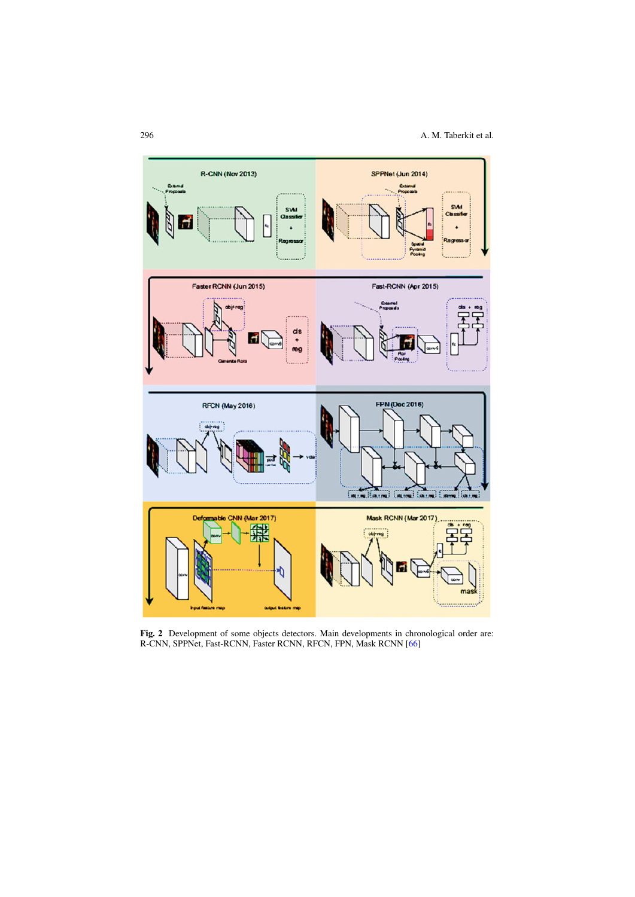

**Fig. 2** Development of some objects detectors. Main developments in chronological order are: R-CNN, SPPNet, Fast-RCNN, Faster RCNN, RFCN, FPN, Mask RCNN [66]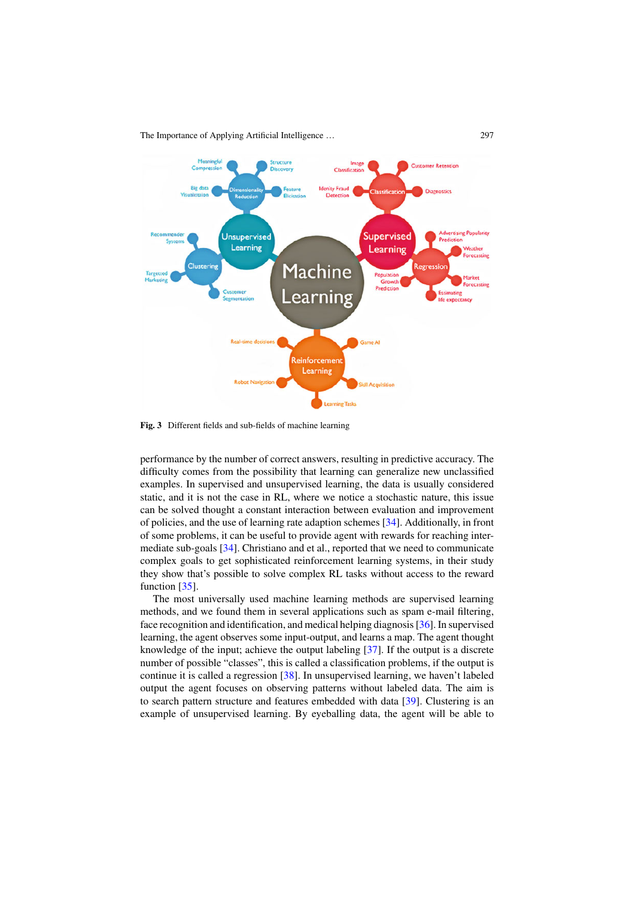

**Fig. 3** Different fields and sub-fields of machine learning

performance by the number of correct answers, resulting in predictive accuracy. The difficulty comes from the possibility that learning can generalize new unclassified examples. In supervised and unsupervised learning, the data is usually considered static, and it is not the case in RL, where we notice a stochastic nature, this issue can be solved thought a constant interaction between evaluation and improvement of policies, and the use of learning rate adaption schemes [34]. Additionally, in front of some problems, it can be useful to provide agent with rewards for reaching intermediate sub-goals [34]. Christiano and et al., reported that we need to communicate complex goals to get sophisticated reinforcement learning systems, in their study they show that's possible to solve complex RL tasks without access to the reward function [35].

The most universally used machine learning methods are supervised learning methods, and we found them in several applications such as spam e-mail filtering, face recognition and identification, and medical helping diagnosis [36]. In supervised learning, the agent observes some input-output, and learns a map. The agent thought knowledge of the input; achieve the output labeling [37]. If the output is a discrete number of possible "classes", this is called a classification problems, if the output is continue it is called a regression [38]. In unsupervised learning, we haven't labeled output the agent focuses on observing patterns without labeled data. The aim is to search pattern structure and features embedded with data [39]. Clustering is an example of unsupervised learning. By eyeballing data, the agent will be able to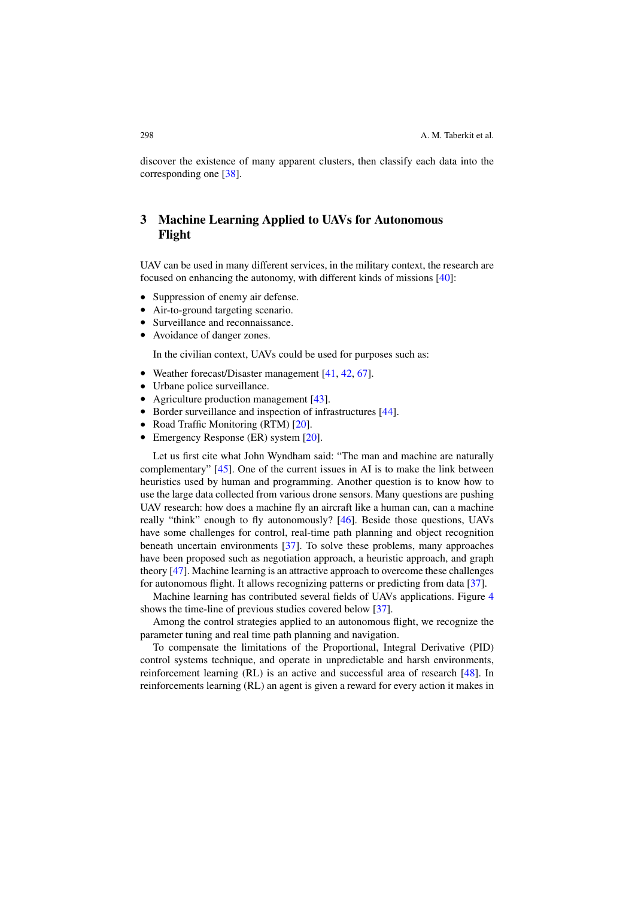discover the existence of many apparent clusters, then classify each data into the corresponding one [38].

# **3 Machine Learning Applied to UAVs for Autonomous Flight**

UAV can be used in many different services, in the military context, the research are focused on enhancing the autonomy, with different kinds of missions [40]:

- Suppression of enemy air defense.
- Air-to-ground targeting scenario.
- Surveillance and reconnaissance.
- Avoidance of danger zones.

In the civilian context, UAVs could be used for purposes such as:

- Weather forecast/Disaster management [41, 42, 67].
- Urbane police surveillance.
- Agriculture production management [43].
- Border surveillance and inspection of infrastructures [44].
- Road Traffic Monitoring (RTM) [20].
- Emergency Response (ER) system [20].

Let us first cite what John Wyndham said: "The man and machine are naturally complementary" [45]. One of the current issues in AI is to make the link between heuristics used by human and programming. Another question is to know how to use the large data collected from various drone sensors. Many questions are pushing UAV research: how does a machine fly an aircraft like a human can, can a machine really "think" enough to fly autonomously? [46]. Beside those questions, UAVs have some challenges for control, real-time path planning and object recognition beneath uncertain environments [37]. To solve these problems, many approaches have been proposed such as negotiation approach, a heuristic approach, and graph theory [47]. Machine learning is an attractive approach to overcome these challenges for autonomous flight. It allows recognizing patterns or predicting from data [37].

Machine learning has contributed several fields of UAVs applications. Figure 4 shows the time-line of previous studies covered below [37].

Among the control strategies applied to an autonomous flight, we recognize the parameter tuning and real time path planning and navigation.

To compensate the limitations of the Proportional, Integral Derivative (PID) control systems technique, and operate in unpredictable and harsh environments, reinforcement learning (RL) is an active and successful area of research [48]. In reinforcements learning (RL) an agent is given a reward for every action it makes in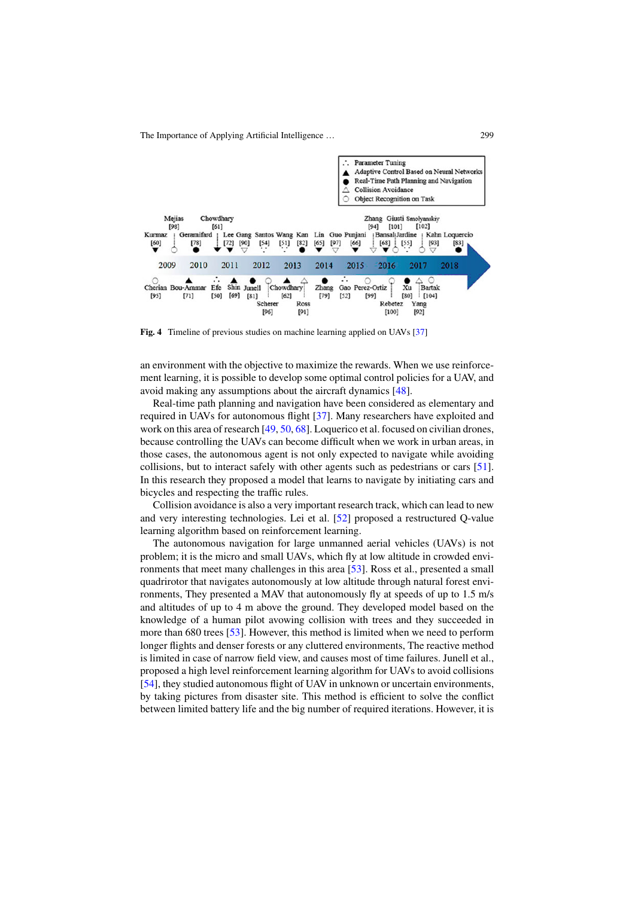

**Fig. 4** Timeline of previous studies on machine learning applied on UAVs [37]

an environment with the objective to maximize the rewards. When we use reinforcement learning, it is possible to develop some optimal control policies for a UAV, and avoid making any assumptions about the aircraft dynamics [48].

Real-time path planning and navigation have been considered as elementary and required in UAVs for autonomous flight [37]. Many researchers have exploited and work on this area of research [49, 50, 68]. Loquerico et al. focused on civilian drones, because controlling the UAVs can become difficult when we work in urban areas, in those cases, the autonomous agent is not only expected to navigate while avoiding collisions, but to interact safely with other agents such as pedestrians or cars [51]. In this research they proposed a model that learns to navigate by initiating cars and bicycles and respecting the traffic rules.

Collision avoidance is also a very important research track, which can lead to new and very interesting technologies. Lei et al. [52] proposed a restructured Q-value learning algorithm based on reinforcement learning.

The autonomous navigation for large unmanned aerial vehicles (UAVs) is not problem; it is the micro and small UAVs, which fly at low altitude in crowded environments that meet many challenges in this area [53]. Ross et al., presented a small quadrirotor that navigates autonomously at low altitude through natural forest environments, They presented a MAV that autonomously fly at speeds of up to 1.5 m/s and altitudes of up to 4 m above the ground. They developed model based on the knowledge of a human pilot avowing collision with trees and they succeeded in more than 680 trees [53]. However, this method is limited when we need to perform longer flights and denser forests or any cluttered environments, The reactive method is limited in case of narrow field view, and causes most of time failures. Junell et al., proposed a high level reinforcement learning algorithm for UAVs to avoid collisions [54], they studied autonomous flight of UAV in unknown or uncertain environments, by taking pictures from disaster site. This method is efficient to solve the conflict between limited battery life and the big number of required iterations. However, it is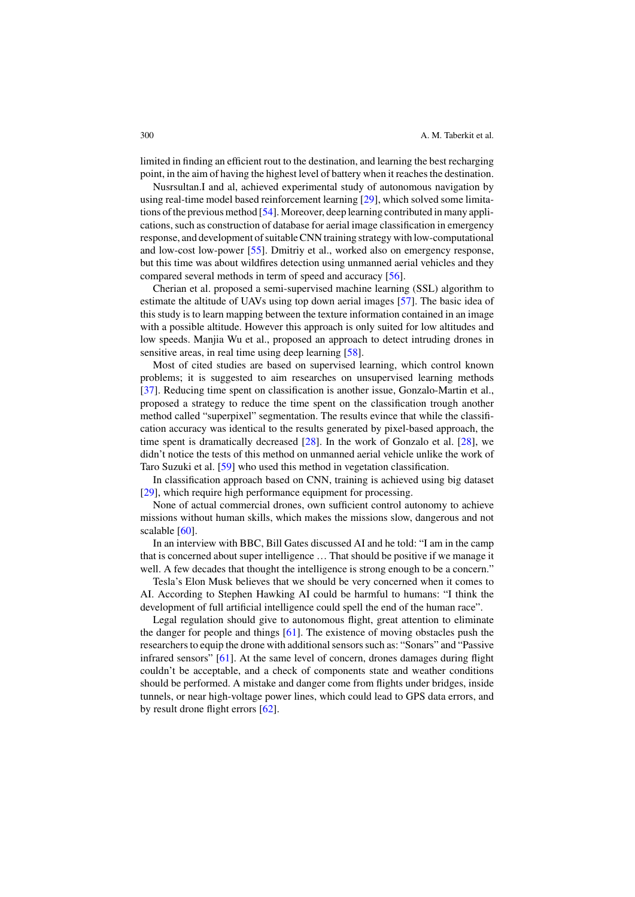limited in finding an efficient rout to the destination, and learning the best recharging point, in the aim of having the highest level of battery when it reaches the destination.

Nusrsultan.I and al, achieved experimental study of autonomous navigation by using real-time model based reinforcement learning [29], which solved some limitations of the previous method [54]. Moreover, deep learning contributed in many applications, such as construction of database for aerial image classification in emergency response, and development of suitable CNN training strategy with low-computational and low-cost low-power [55]. Dmitriy et al., worked also on emergency response, but this time was about wildfires detection using unmanned aerial vehicles and they compared several methods in term of speed and accuracy [56].

Cherian et al. proposed a semi-supervised machine learning (SSL) algorithm to estimate the altitude of UAVs using top down aerial images [57]. The basic idea of this study is to learn mapping between the texture information contained in an image with a possible altitude. However this approach is only suited for low altitudes and low speeds. Manjia Wu et al., proposed an approach to detect intruding drones in sensitive areas, in real time using deep learning [58].

Most of cited studies are based on supervised learning, which control known problems; it is suggested to aim researches on unsupervised learning methods [37]. Reducing time spent on classification is another issue, Gonzalo-Martin et al., proposed a strategy to reduce the time spent on the classification trough another method called "superpixel" segmentation. The results evince that while the classification accuracy was identical to the results generated by pixel-based approach, the time spent is dramatically decreased [28]. In the work of Gonzalo et al. [28], we didn't notice the tests of this method on unmanned aerial vehicle unlike the work of Taro Suzuki et al. [59] who used this method in vegetation classification.

In classification approach based on CNN, training is achieved using big dataset [29], which require high performance equipment for processing.

None of actual commercial drones, own sufficient control autonomy to achieve missions without human skills, which makes the missions slow, dangerous and not scalable [60].

In an interview with BBC, Bill Gates discussed AI and he told: "I am in the camp that is concerned about super intelligence … That should be positive if we manage it well. A few decades that thought the intelligence is strong enough to be a concern."

Tesla's Elon Musk believes that we should be very concerned when it comes to AI. According to Stephen Hawking AI could be harmful to humans: "I think the development of full artificial intelligence could spell the end of the human race".

Legal regulation should give to autonomous flight, great attention to eliminate the danger for people and things [61]. The existence of moving obstacles push the researchers to equip the drone with additional sensors such as: "Sonars" and "Passive infrared sensors" [61]. At the same level of concern, drones damages during flight couldn't be acceptable, and a check of components state and weather conditions should be performed. A mistake and danger come from flights under bridges, inside tunnels, or near high-voltage power lines, which could lead to GPS data errors, and by result drone flight errors [62].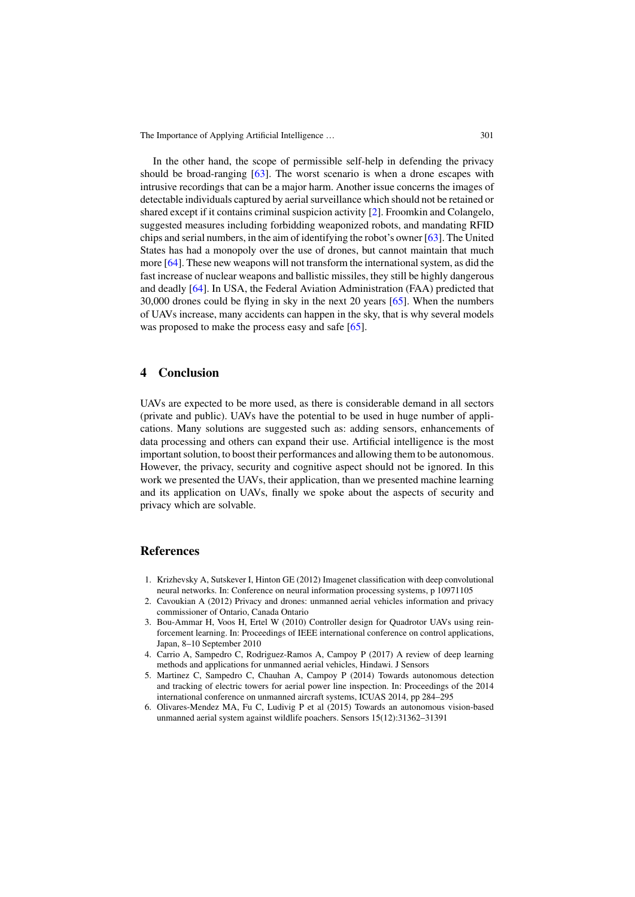In the other hand, the scope of permissible self-help in defending the privacy should be broad-ranging [63]. The worst scenario is when a drone escapes with intrusive recordings that can be a major harm. Another issue concerns the images of detectable individuals captured by aerial surveillance which should not be retained or shared except if it contains criminal suspicion activity [2]. Froomkin and Colangelo, suggested measures including forbidding weaponized robots, and mandating RFID chips and serial numbers, in the aim of identifying the robot's owner [63]. The United States has had a monopoly over the use of drones, but cannot maintain that much more [64]. These new weapons will not transform the international system, as did the fast increase of nuclear weapons and ballistic missiles, they still be highly dangerous and deadly [64]. In USA, the Federal Aviation Administration (FAA) predicted that 30,000 drones could be flying in sky in the next 20 years [65]. When the numbers of UAVs increase, many accidents can happen in the sky, that is why several models was proposed to make the process easy and safe [65].

### **4 Conclusion**

UAVs are expected to be more used, as there is considerable demand in all sectors (private and public). UAVs have the potential to be used in huge number of applications. Many solutions are suggested such as: adding sensors, enhancements of data processing and others can expand their use. Artificial intelligence is the most important solution, to boost their performances and allowing them to be autonomous. However, the privacy, security and cognitive aspect should not be ignored. In this work we presented the UAVs, their application, than we presented machine learning and its application on UAVs, finally we spoke about the aspects of security and privacy which are solvable.

#### **References**

- 1. Krizhevsky A, Sutskever I, Hinton GE (2012) Imagenet classification with deep convolutional neural networks. In: Conference on neural information processing systems, p 10971105
- 2. Cavoukian A (2012) Privacy and drones: unmanned aerial vehicles information and privacy commissioner of Ontario, Canada Ontario
- 3. Bou-Ammar H, Voos H, Ertel W (2010) Controller design for Quadrotor UAVs using reinforcement learning. In: Proceedings of IEEE international conference on control applications, Japan, 8–10 September 2010
- 4. Carrio A, Sampedro C, Rodriguez-Ramos A, Campoy P (2017) A review of deep learning methods and applications for unmanned aerial vehicles, Hindawi. J Sensors
- 5. Martinez C, Sampedro C, Chauhan A, Campoy P (2014) Towards autonomous detection and tracking of electric towers for aerial power line inspection. In: Proceedings of the 2014 international conference on unmanned aircraft systems, ICUAS 2014, pp 284–295
- 6. Olivares-Mendez MA, Fu C, Ludivig P et al (2015) Towards an autonomous vision-based unmanned aerial system against wildlife poachers. Sensors 15(12):31362–31391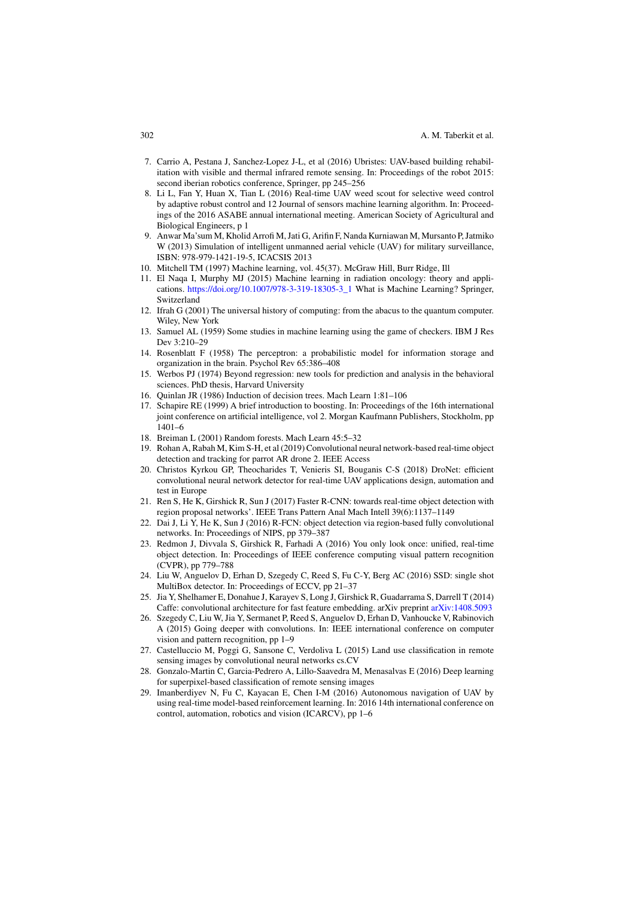- 7. Carrio A, Pestana J, Sanchez-Lopez J-L, et al (2016) Ubristes: UAV-based building rehabilitation with visible and thermal infrared remote sensing. In: Proceedings of the robot 2015: second iberian robotics conference, Springer, pp 245–256
- 8. Li L, Fan Y, Huan X, Tian L (2016) Real-time UAV weed scout for selective weed control by adaptive robust control and 12 Journal of sensors machine learning algorithm. In: Proceedings of the 2016 ASABE annual international meeting. American Society of Agricultural and Biological Engineers, p 1
- 9. Anwar Ma'sum M, Kholid Arrofi M, Jati G, Arifin F, Nanda Kurniawan M, Mursanto P, Jatmiko W (2013) Simulation of intelligent unmanned aerial vehicle (UAV) for military surveillance, ISBN: 978-979-1421-19-5, ICACSIS 2013
- 10. Mitchell TM (1997) Machine learning, vol. 45(37). McGraw Hill, Burr Ridge, Ill
- 11. El Naqa I, Murphy MJ (2015) Machine learning in radiation oncology: theory and applications. https://doi.org/10.1007/978-3-319-18305-3\_1 What is Machine Learning? Springer, Switzerland
- 12. Ifrah G (2001) The universal history of computing: from the abacus to the quantum computer. Wiley, New York
- 13. Samuel AL (1959) Some studies in machine learning using the game of checkers. IBM J Res Dev 3:210–29
- 14. Rosenblatt F (1958) The perceptron: a probabilistic model for information storage and organization in the brain. Psychol Rev 65:386–408
- 15. Werbos PJ (1974) Beyond regression: new tools for prediction and analysis in the behavioral sciences. PhD thesis, Harvard University
- 16. Quinlan JR (1986) Induction of decision trees. Mach Learn 1:81–106
- 17. Schapire RE (1999) A brief introduction to boosting. In: Proceedings of the 16th international joint conference on artificial intelligence, vol 2. Morgan Kaufmann Publishers, Stockholm, pp 1401–6
- 18. Breiman L (2001) Random forests. Mach Learn 45:5–32
- 19. Rohan A, Rabah M, Kim S-H, et al (2019) Convolutional neural network-based real-time object detection and tracking for parrot AR drone 2. IEEE Access
- 20. Christos Kyrkou GP, Theocharides T, Venieris SI, Bouganis C-S (2018) DroNet: efficient convolutional neural network detector for real-time UAV applications design, automation and test in Europe
- 21. Ren S, He K, Girshick R, Sun J (2017) Faster R-CNN: towards real-time object detection with region proposal networks'. IEEE Trans Pattern Anal Mach Intell 39(6):1137–1149
- 22. Dai J, Li Y, He K, Sun J (2016) R-FCN: object detection via region-based fully convolutional networks. In: Proceedings of NIPS, pp 379–387
- 23. Redmon J, Divvala S, Girshick R, Farhadi A (2016) You only look once: unified, real-time object detection. In: Proceedings of IEEE conference computing visual pattern recognition (CVPR), pp 779–788
- 24. Liu W, Anguelov D, Erhan D, Szegedy C, Reed S, Fu C-Y, Berg AC (2016) SSD: single shot MultiBox detector. In: Proceedings of ECCV, pp 21–37
- 25. Jia Y, Shelhamer E, Donahue J, Karayev S, Long J, Girshick R, Guadarrama S, Darrell T (2014) Caffe: convolutional architecture for fast feature embedding. arXiv preprint arXiv:1408.5093
- 26. Szegedy C, Liu W, Jia Y, Sermanet P, Reed S, Anguelov D, Erhan D, Vanhoucke V, Rabinovich A (2015) Going deeper with convolutions. In: IEEE international conference on computer vision and pattern recognition, pp 1–9
- 27. Castelluccio M, Poggi G, Sansone C, Verdoliva L (2015) Land use classification in remote sensing images by convolutional neural networks cs.CV
- 28. Gonzalo-Martin C, Garcia-Pedrero A, Lillo-Saavedra M, Menasalvas E (2016) Deep learning for superpixel-based classification of remote sensing images
- 29. Imanberdiyev N, Fu C, Kayacan E, Chen I-M (2016) Autonomous navigation of UAV by using real-time model-based reinforcement learning. In: 2016 14th international conference on control, automation, robotics and vision (ICARCV), pp 1–6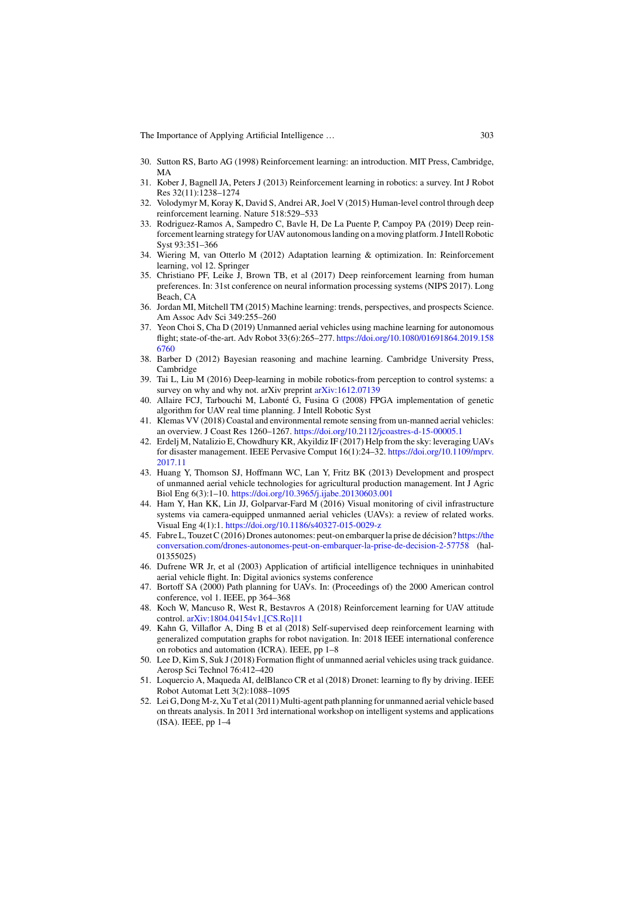- 30. Sutton RS, Barto AG (1998) Reinforcement learning: an introduction. MIT Press, Cambridge, MA
- 31. Kober J, Bagnell JA, Peters J (2013) Reinforcement learning in robotics: a survey. Int J Robot Res 32(11):1238–1274
- 32. Volodymyr M, Koray K, David S, Andrei AR, Joel V (2015) Human-level control through deep reinforcement learning. Nature 518:529–533
- 33. Rodriguez-Ramos A, Sampedro C, Bavle H, De La Puente P, Campoy PA (2019) Deep reinforcement learning strategy for UAV autonomous landing on a moving platform. J Intell Robotic Syst 93:351–366
- 34. Wiering M, van Otterlo M (2012) Adaptation learning & optimization. In: Reinforcement learning, vol 12. Springer
- 35. Christiano PF, Leike J, Brown TB, et al (2017) Deep reinforcement learning from human preferences. In: 31st conference on neural information processing systems (NIPS 2017). Long Beach, CA
- 36. Jordan MI, Mitchell TM (2015) Machine learning: trends, perspectives, and prospects Science. Am Assoc Adv Sci 349:255–260
- 37. Yeon Choi S, Cha D (2019) Unmanned aerial vehicles using machine learning for autonomous flight; state-of-the-art. Adv Robot 33(6):265–277. https://doi.org/10.1080/01691864.2019.158 6760
- 38. Barber D (2012) Bayesian reasoning and machine learning. Cambridge University Press, Cambridge
- 39. Tai L, Liu M (2016) Deep-learning in mobile robotics-from perception to control systems: a survey on why and why not. arXiv preprint arXiv:1612.07139
- 40. Allaire FCJ, Tarbouchi M, Labonté G, Fusina G (2008) FPGA implementation of genetic algorithm for UAV real time planning. J Intell Robotic Syst
- 41. Klemas VV (2018) Coastal and environmental remote sensing from un-manned aerial vehicles: an overview. J Coast Res 1260–1267. https://doi.org/10.2112/jcoastres-d-15-00005.1
- 42. Erdelj M, Natalizio E, Chowdhury KR, Akyildiz IF (2017) Help from the sky: leveraging UAVs for disaster management. IEEE Pervasive Comput 16(1):24–32. https://doi.org/10.1109/mprv. 2017.11
- 43. Huang Y, Thomson SJ, Hoffmann WC, Lan Y, Fritz BK (2013) Development and prospect of unmanned aerial vehicle technologies for agricultural production management. Int J Agric Biol Eng 6(3):1–10. https://doi.org/10.3965/j.ijabe.20130603.001
- 44. Ham Y, Han KK, Lin JJ, Golparvar-Fard M (2016) Visual monitoring of civil infrastructure systems via camera-equipped unmanned aerial vehicles (UAVs): a review of related works. Visual Eng 4(1):1. https://doi.org/10.1186/s40327-015-0029-z
- 45. Fabre L, Touzet C (2016) Drones autonomes: peut-on embarquer la prise de décision? https://the conversation.com/drones-autonomes-peut-on-embarquer-la-prise-de-decision-2-57758 (hal-01355025)
- 46. Dufrene WR Jr, et al (2003) Application of artificial intelligence techniques in uninhabited aerial vehicle flight. In: Digital avionics systems conference
- 47. Bortoff SA (2000) Path planning for UAVs. In: (Proceedings of) the 2000 American control conference, vol 1. IEEE, pp 364–368
- 48. Koch W, Mancuso R, West R, Bestavros A (2018) Reinforcement learning for UAV attitude control. arXiv:1804.04154v1,[CS.Ro]11
- 49. Kahn G, Villaflor A, Ding B et al (2018) Self-supervised deep reinforcement learning with generalized computation graphs for robot navigation. In: 2018 IEEE international conference on robotics and automation (ICRA). IEEE, pp 1–8
- 50. Lee D, Kim S, Suk J (2018) Formation flight of unmanned aerial vehicles using track guidance. Aerosp Sci Technol 76:412–420
- 51. Loquercio A, Maqueda AI, delBlanco CR et al (2018) Dronet: learning to fly by driving. IEEE Robot Automat Lett 3(2):1088–1095
- 52. Lei G, Dong M-z, Xu T et al (2011) Multi-agent path planning for unmanned aerial vehicle based on threats analysis. In 2011 3rd international workshop on intelligent systems and applications (ISA). IEEE, pp 1–4